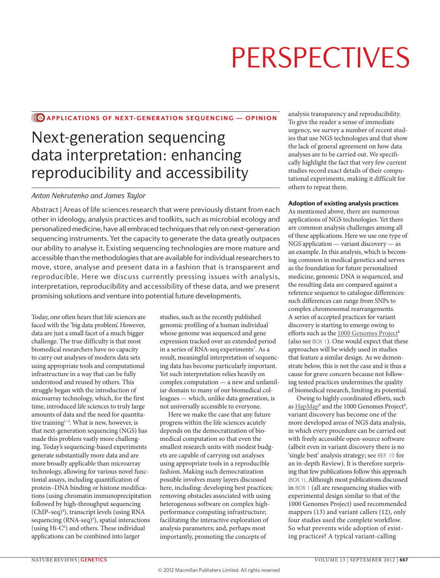### **CO APPLICATIONS OF NEXT-GENERATION SEQUENCING — OPINION**

# Next-generation sequencing data interpretation: enhancing reproducibility and accessibility

### *Anton Nekrutenko and James Taylor*

Abstract | Areas of life sciences research that were previously distant from each other in ideology, analysis practices and toolkits, such as microbial ecology and personalized medicine, have all embraced techniques that rely on next-generation sequencing instruments. Yet the capacity to generate the data greatly outpaces our ability to analyse it. Existing sequencing technologies are more mature and accessible than the methodologies that are available for individual researchers to move, store, analyse and present data in a fashion that is transparent and reproducible. Here we discuss currently pressing issues with analysis, interpretation, reproducibility and accessibility of these data, and we present promising solutions and venture into potential future developments.

Today, one often hears that life sciences are faced with the 'big data problem'. However, data are just a small facet of a much bigger challenge. The true difficulty is that most biomedical researchers have no capacity to carry out analyses of modern data sets using appropriate tools and computational infrastructure in a way that can be fully understood and reused by others. This struggle began with the introduction of microarray technology, which, for the first time, introduced life sciences to truly large amounts of data and the need for quantitative training<sup>1-3</sup>. What is new, however, is that next-generation sequencing (NGS) has made this problem vastly more challenging. Today's sequencing-based experiments generate substantially more data and are more broadly applicable than microarray technology, allowing for various novel functional assays, including quantification of protein–DNA binding or histone modifications (using chromatin immunoprecipitation followed by high-throughput sequencing (ChIP–seq)<sup>4</sup>), transcript levels (using RNA sequencing (RNA-seq)<sup>5</sup>), spatial interactions (using Hi-C<sup>6</sup>) and others. These individual applications can be combined into larger

studies, such as the recently published genomic profiling of a human individual whose genome was sequenced and gene expression tracked over an extended period in a series of RNA-seq experiments<sup>7</sup>. As a result, meaningful interpretation of sequencing data has become particularly important. Yet such interpretation relies heavily on complex computation — a new and unfamiliar domain to many of our biomedical colleagues — which, unlike data generation, is not universally accessible to everyone.

Here we make the case that any future progress within the life sciences acutely depends on the democratization of biomedical computation so that even the smallest research units with modest budgets are capable of carrying out analyses using appropriate tools in a reproducible fashion. Making such democratization possible involves many layers discussed here, including: developing best practices; removing obstacles associated with using heterogenous software on complex highperformance computing infrastructure; facilitating the interactive exploration of analysis parameters; and, perhaps most importantly, promoting the concepts of

analysis transparency and reproducibility. To give the reader a sense of immediate urgency, we survey a number of recent studies that use NGS technologies and that show the lack of general agreement on how data analyses are to be carried out. We specifically highlight the fact that very few current studies record exact details of their computational experiments, making it difficult for others to repeat them.

### Adoption of existing analysis practices

As mentioned above, there are numerous applications of NGS technologies. Yet there are common analysis challenges among all of these applications. Here we use one type of NGS application — variant discovery — as an example. In this analysis, which is becoming common in medical genetics and serves as the foundation for future personalized medicine, genomic DNA is sequenced, and the resulting data are compared against a reference sequence to catalogue differences: such differences can range from SNPs to complex chromosomal rearrangements. A series of accepted practices for variant discovery is starting to emerge owing to efforts such as the 1000 Genomes Project<sup>8</sup> (also see BOX 1). One would expect that these approaches will be widely used in studies that feature a similar design. As we demonstrate below, this is not the case and is thus a cause for grave concern because not following tested practices undermines the quality of biomedical research, limiting its potential.

Owing to highly coordinated efforts, such as [HapMap](http://hapmap.ncbi.nlm.nih.gov/)<sup>9</sup> and the 1000 Genomes Project<sup>8</sup>, variant discovery has become one of the more developed areas of NGS data analysis, in which every procedure can be carried out with freely accessible open-source software (albeit even in variant discovery there is no 'single best' analysis strategy; see REF. 10 for an in-depth Review). It is therefore surprising that few publications follow this approach (BOX 1). Although most publications discussed in BOX 1 (all are resequencing studies with experimental design similar to that of the 1000 Genomes Project) used recommended mappers (13) and variant callers (12), only four studies used the complete workflow. So what prevents wide adoption of existing practices? A typical variant-calling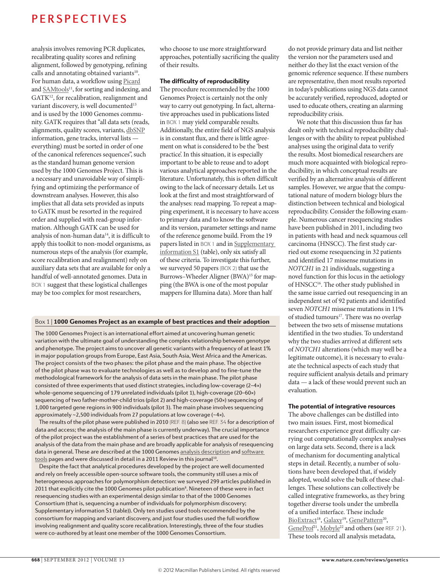analysis involves removing PCR duplicates, recalibrating quality scores and refining alignment, followed by genotyping, refining calls and annotating obtained variants<sup>10</sup>. For human data, a workflow using [Picard](http://picard.sourceforge.net) and [SAMtools](http://samtools.sourceforge.net)<sup>11</sup>, for sorting and indexing, and GATK<sup>12</sup>, for recalibration, realignment and variant discovery, is well documented<sup>13</sup> and is used by the 1000 Genomes community. GATK requires that "all data sets (reads, alignments, quality scores, variants, [dbSNP](http://www.ncbi.nlm.nih.gov/projects/SNP) information, gene tracks, interval lists everything) must be sorted in order of one of the canonical references sequences", such as the standard human genome version used by the 1000 Genomes Project. This is a necessary and unavoidable way of simplifying and optimizing the performance of downstream analyses. However, this also implies that all data sets provided as inputs to GATK must be resorted in the required order and supplied with read-group information. Although GATK can be used for analysis of non-human data<sup>14</sup>, it is difficult to apply this toolkit to non-model organisms, as numerous steps of the analysis (for example, score recalibration and realignment) rely on auxiliary data sets that are available for only a handful of well-annotated genomes. Data in BOX 1 suggest that these logistical challenges may be too complex for most researchers,

who choose to use more straightforward approaches, potentially sacrificing the quality of their results.

### The difficulty of reproducibility

The procedure recommended by the 1000 Genomes Project is certainly not the only way to carry out genotyping. In fact, alternative approaches used in publications listed in BOX 1 may yield comparable results. Additionally, the entire field of NGS analysis is in constant flux, and there is little agreement on what is considered to be the 'best practice'. In this situation, it is especially important to be able to reuse and to adopt various analytical approaches reported in the literature. Unfortunately, this is often difficult owing to the lack of necessary details. Let us look at the first and most straightforward of the analyses: read mapping. To repeat a mapping experiment, it is necessary to have access to primary data and to know the software and its version, parameter settings and name of the reference genome build. From the 19 papers listed in BOX 1 and in [Supplementary](http://www.nature.com/nrg/journal/v13/n9/suppinfo/nrg3305.html)  [information S1](http://www.nature.com/nrg/journal/v13/n9/suppinfo/nrg3305.html) (table), only six satisfy all of these criteria. To investigate this further, we surveyed 50 papers (BOX 2) that use the Burrows–Wheeler Aligner (BWA)<sup>15</sup> for mapping (the BWA is one of the most popular mappers for Illumina data). More than half

### Box 1 | 1000 Genomes Project as an example of best practices and their adoption

The 1000 Genomes Project is an international effort aimed at uncovering human genetic variation with the ultimate goal of understanding the complex relationship between genotype and phenotype. The project aims to uncover all genetic variants with a frequency of at least 1% in major population groups from Europe, East Asia, South Asia, West Africa and the Americas. The project consists of the two phases: the pilot phase and the main phase. The objective of the pilot phase was to evaluate technologies as well as to develop and to fine-tune the methodological framework for the analysis of data sets in the main phase. The pilot phase consisted of three experiments that used distinct strategies, including low-coverage (2–4×) whole-genome sequencing of 179 unrelated individuals (pilot 1), high-coverage (20–60×) sequencing of two father-mother-child trios (pilot 2) and high-coverage (50×) sequencing of 1,000 targeted gene regions in 900 individuals (pilot 3). The main phase involves sequencing approximately ~2,500 individuals from 27 populations at low coverage (~4×).

The results of the pilot phase were published in 2010 (REF. 8) (also see REF. 34 for a description of data and access; the analysis of the main phase is currently underway). The crucial importance of the pilot project was the establishment of a series of best practices that are used for the analysis of the data from the main phase and are broadly applicable for analysis of resequencing data in general. These are described at the 1000 Genomes [analysis description](http://www.1000genomes.org/analysis) and software [tools](http://www.1000genomes.org/tools) pages and were discussed in detail in a 2011 Review in this journal<sup>10</sup>.

Despite the fact that analytical procedures developed by the project are well documented and rely on freely accessible open-source software tools, the community still uses a mix of heterogeneous approaches for polymorphism detection: we surveyed 299 articles published in 2011 that explicitly cite the 1000 Genomes pilot publication<sup>8</sup>. Nineteen of these were in fact resequencing studies with an experimental design similar to that of the 1000 Genomes Consortium (that is, sequencing a number of individuals for polymorphism discovery; Supplementary information S1 (table)). Only ten studies used tools recommended by the consortium for mapping and variant discovery, and just four studies used the full workflow involving realignment and quality score recalibration. Interestingly, three of the four studies were co-authored by at least one member of the 1000 Genomes Consortium.

do not provide primary data and list neither the version nor the parameters used and neither do they list the exact version of the genomic reference sequence. If these numbers are representative, then most results reported in today's publications using NGS data cannot be accurately verified, reproduced, adopted or used to educate others, creating an alarming reproducibility crisis.

We note that this discussion thus far has dealt only with technical reproducibility challenges or with the ability to repeat published analyses using the original data to verify the results. Most biomedical researchers are much more acquainted with biological reproducibility, in which conceptual results are verified by an alternative analysis of different samples. However, we argue that the computational nature of modern biology blurs the distinction between technical and biological reproducibility. Consider the following example. Numerous cancer resequencing studies have been published in 2011, including two in patients with head and neck squamous cell carcinoma (HNSCC). The first study carried out exome resequencing in 32 patients and identified 17 missense mutations in *NOTCH1* in 21 individuals, suggesting a novel function for this locus in the aetiology of HNSCC<sup>16</sup>. The other study published in the same issue carried out resequencing in an independent set of 92 patients and identified seven *NOTCH1* missense mutations in 11% of studied tumours<sup>17</sup>. There was no overlap between the two sets of missense mutations identified in the two studies. To understand why the two studies arrived at different sets of *NOTCH1* alterations (which may well be a legitimate outcome), it is necessary to evaluate the technical aspects of each study that require sufficient analysis details and primary data — a lack of these would prevent such an evaluation.

### The potential of integrative resources

The above challenges can be distilled into two main issues. First, most biomedical researchers experience great difficulty carrying out computationally complex analyses on large data sets. Second, there is a lack of mechanism for documenting analytical steps in detail. Recently, a number of solutions have been developed that, if widely adopted, would solve the bulk of these challenges. These solutions can collectively be called integrative frameworks, as they bring together diverse tools under the umbrella of a unified interface. These include BioExtract<sup>18</sup>, [Galaxy](http://usegalaxy.org)<sup>19</sup>, [GenePattern](http://www.broadinstitute.org/cancer/software/genepattern)<sup>20</sup>, [GeneProf](http://www.geneprof.org/GeneProf/)<sup>21</sup>, Mobyle<sup>22</sup> and others (see REF. 21). These tools record all analysis metadata,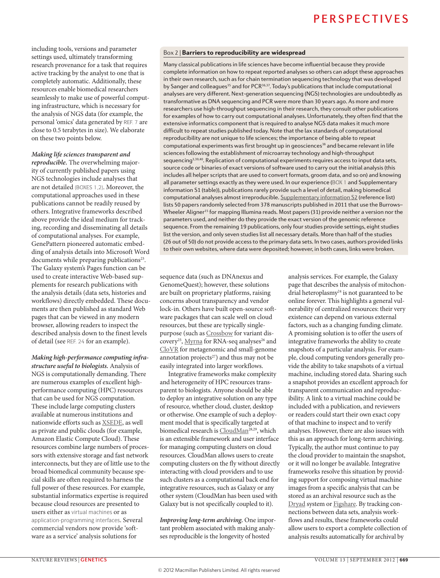including tools, versions and parameter settings used, ultimately transforming research provenance for a task that requires active tracking by the analyst to one that is completely automatic. Additionally, these resources enable biomedical researchers seamlessly to make use of powerful computing infrastructure, which is necessary for the analysis of NGS data (for example, the personal 'omics' data generated by REF. 7 are close to 0.5 terabytes in size). We elaborate on these two points below.

*Making life sciences transparent and reproducible.* The overwhelming majority of currently published papers using NGS technologies include analyses that are not detailed (BOXES 1,2). Moreover, the computational approaches used in these publications cannot be readily reused by others. Integrative frameworks described above provide the ideal medium for tracking, recording and disseminating all details of computational analyses. For example, GenePattern pioneered automatic embedding of analysis details into Microsoft Word documents while preparing publications<sup>23</sup>. The Galaxy system's Pages function can be used to create interactive Web-based supplements for research publications with the analysis details (data sets, histories and workflows) directly embedded. These documents are then published as standard Web pages that can be viewed in any modern browser, allowing readers to inspect the described analysis down to the finest levels of detail (see REF. 24 for an example).

*Making high-performance computing infrastructure useful to biologists.* Analysis of NGS is computationally demanding. There are numerous examples of excellent highperformance computing (HPC) resources that can be used for NGS computation. These include large computing clusters available at numerous institutions and nationwide efforts such as [XSEDE,](http://www.xsede.org/) as well as private and public clouds (for example, Amazon Elastic Compute Cloud). These resources combine large numbers of processors with extensive storage and fast network interconnects, but they are of little use to the broad biomedical community because special skills are often required to harness the full power of these resources. For example, substantial informatics expertise is required because cloud resources are presented to users either as virtual machines or as application-programming interfaces. Several commercial vendors now provide 'software as a service' analysis solutions for

### Box 2 | Barriers to reproducibility are widespread

Many classical publications in life sciences have become influential because they provide complete information on how to repeat reported analyses so others can adopt these approaches in their own research, such as for chain termination sequencing technology that was developed by Sanger and colleagues<sup>35</sup> and for PCR<sup>36,37</sup>. Today's publications that include computational analyses are very different. Next-generation sequencing (NGS) technologies are undoubtedly as transformative as DNA sequencing and PCR were more than 30 years ago. As more and more researchers use high-throughput sequencing in their research, they consult other publications for examples of how to carry out computational analyses. Unfortunately, they often find that the extensive informatics component that is required to analyse NGS data makes it much more difficult to repeat studies published today. Note that the lax standards of computational reproducibility are not unique to life sciences; the importance of being able to repeat computational experiments was first brought up in geosciences<sup>38</sup> and became relevant in life sciences following the establishment of microarray technology and high-throughput sequencing<sup>3,39,40</sup>. Replication of computational experiments requires access to input data sets, source code or binaries of exact versions of software used to carry out the initial analysis (this includes all helper scripts that are used to convert formats, groom data, and so on) and knowing all parameter settings exactly as they were used. In our experience (BOX 1 and Supplementary information S1 (table)), publications rarely provide such a level of detail, making biomedical computational analyses almost irreproducible. [Supplementary information S2](http://www.nature.com/nrg/journal/v13/n9/suppinfo/nrg3305.html) (reference list) lists 50 papers randomly selected from 378 manuscripts published in 2011 that use the Burrows– Wheeler Aligner<sup>15</sup> for mapping Illumina reads. Most papers (31) provide neither a version nor the parameters used, and neither do they provide the exact version of the genomic reference sequence. From the remaining 19 publications, only four studies provide settings, eight studies list the version, and only seven studies list all necessary details. More than half of the studies (26 out of 50) do not provide access to the primary data sets. In two cases, authors provided links to their own websites, where data were deposited; however, in both cases, links were broken.

sequence data (such as DNAnexus and GenomeQuest); however, these solutions are built on proprietary platforms, raising concerns about transparency and vendor lock-in. Others have built open-source software packages that can scale well on cloud resources, but these are typically singlepurpose (such as [Crossbow](http://bowtie-bio.sourceforge.net/crossbow/index.shtml) for variant dis-covery<sup>25</sup>, [Myrna](http://bowtie-bio.sourceforge.net/myrna/index.shtml) for RNA-seq analyses<sup>26</sup> and [CloVR](http://clovr.org) for metagenomic and small-genome annotation projects $27$ ) and thus may not be easily integrated into larger workflows.

Integrative frameworks make complexity and heterogeneity of HPC resources transparent to biologists. Anyone should be able to deploy an integrative solution on any type of resource, whether cloud, cluster, desktop or otherwise. One example of such a deployment model that is specifically targeted at biomedical research is  $\underline{\text{CloudMan}}^{\text{28,29}},$  which is an extensible framework and user interface for managing computing clusters on cloud resources. CloudMan allows users to create computing clusters on the fly without directly interacting with cloud providers and to use such clusters as a computational back end for integrative resources, such as Galaxy or any other system (CloudMan has been used with Galaxy but is not specifically coupled to it).

*Improving long-term archiving.* One important problem associated with making analyses reproducible is the longevity of hosted

analysis services. For example, the Galaxy page that describes the analysis of mitochondrial heteroplasmy<sup>24</sup> is not guaranteed to be online forever. This highlights a general vulnerability of centralized resources: their very existence can depend on various external factors, such as a changing funding climate. A promising solution is to offer the users of integrative frameworks the ability to create snapshots of a particular analysis. For example, cloud computing vendors generally provide the ability to take snapshots of a virtual machine, including stored data. Sharing such a snapshot provides an excellent approach for transparent communication and reproducibility. A link to a virtual machine could be included with a publication, and reviewers or readers could start their own exact copy of that machine to inspect and to verify analyses. However, there are also issues with this as an approach for long-term archiving. Typically, the author must continue to pay the cloud provider to maintain the snapshot, or it will no longer be available. Integrative frameworks resolve this situation by providing support for composing virtual machine images from a specific analysis that can be stored as an archival resource such as the [Dryad](http://www.datadryad.org) system or [Figshare.](http://www.figshare.com) By tracking connections between data sets, analysis workflows and results, these frameworks could allow users to export a complete collection of analysis results automatically for archival by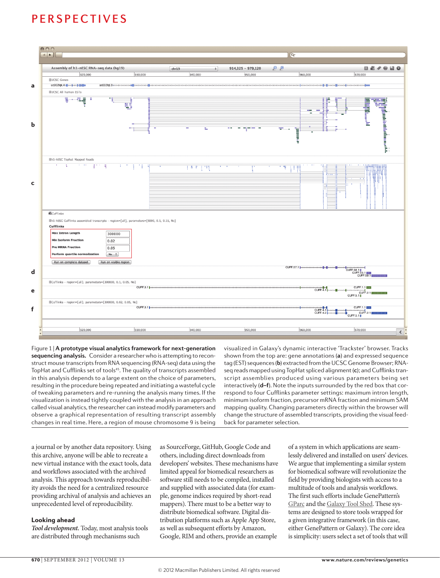

Figure 1 | **A prototype visual analytics framework for next-generation sequencing analysis.** Consider a researcher who is attempting to reconstruct mouse transcripts from RNA sequencing (RNA-seq) data using the TopHat and Cufflinks set of tools<sup>45</sup>. The quality of transcripts assembled in this analysis depends to a large extent on the choice of parameters, resulting in the procedure being repeated and initiating a wasteful cycle of tweaking parameters and re-running the analysis many times. If the visualization is instead tightly coupled with the analysis in an approach called visual analytics, the researcher can instead modify parameters and observe a graphical representation of resulting transcript assembly changes in real time. Here, a region of mouse chromosome 9 is being

visualized in Galaxy's dynamic interactive 'Trackster' browser. Tracks shown from the top are: gene annotations (**a**) and expressed sequence tag (EST) sequences (**b**) extracted from the UCSC Genome Browser; RNAseq reads mapped using TopHat spliced alignment (**c**); and Cufflinks transcript assemblies produced using various parameters being set interactively (**d–f**). Note the inputs surrounded by the red box that correspond to four Cufflinks parameter settings: maximum intron length, minimum isoform fraction, precursor mRNA fraction and minimum SAM mapping quality. Changing parameters directly within the browser will change the structure of assembled transcripts, providing the visual feedback for parameter selection.

a journal or by another data repository. Using this archive, anyone will be able to recreate a new virtual instance with the exact tools, data and workflows associated with the archived analysis. This approach towards reproducibility avoids the need for a centralized resource providing archival of analysis and achieves an unprecedented level of reproducibility.

### Looking ahead

*Tool development.* Today, most analysis tools are distributed through mechanisms such

as SourceForge, GitHub, Google Code and others, including direct downloads from developers' websites. These mechanisms have limited appeal for biomedical researchers as software still needs to be compiled, installed and supplied with associated data (for example, genome indices required by short-read mappers). There must to be a better way to distribute biomedical software. Digital distribution platforms such as Apple App Store, as well as subsequent efforts by Amazon, Google, RIM and others, provide an example

of a system in which applications are seamlessly delivered and installed on users' devices. We argue that implementing a similar system for biomedical software will revolutionize the field by providing biologists with access to a multitude of tools and analysis workflows. The first such efforts include GenePattern's [GParc](http://gparc.org) and the [Galaxy Tool Shed](http://usegalaxy.org/toolshed). These systems are designed to store tools wrapped for a given integrative framework (in this case, either GenePattern or Galaxy). The core idea is simplicity: users select a set of tools that will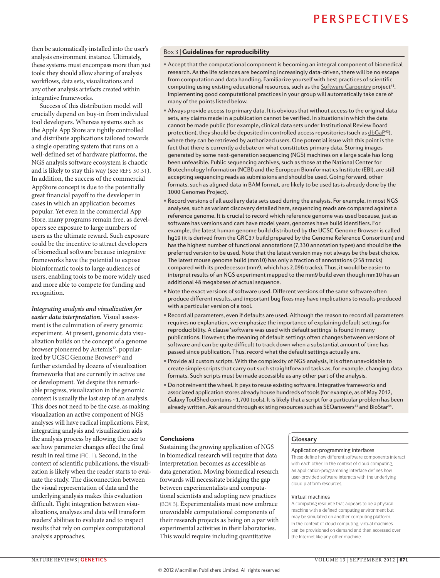then be automatically installed into the user's analysis environment instance. Ultimately, these systems must encompass more than just tools: they should allow sharing of analysis workflows, data sets, visualizations and any other analysis artefacts created within integrative frameworks.

Success of this distribution model will crucially depend on buy-in from individual tool developers. Whereas systems such as the Apple App Store are tightly controlled and distribute applications tailored towards a single operating system that runs on a well-defined set of hardware platforms, the NGS analysis software ecosystem is chaotic and is likely to stay this way (see REFS 30,31). In addition, the success of the commercial AppStore concept is due to the potentially great financial payoff to the developer in cases in which an application becomes popular. Yet even in the commercial App Store, many programs remain free, as developers see exposure to large numbers of users as the ultimate reward. Such exposure could be the incentive to attract developers of biomedical software because integrative frameworks have the potential to expose bioinformatic tools to large audiences of users, enabling tools to be more widely used and more able to compete for funding and recognition.

*Integrating analysis and visualization for easier data interpretation.* Visual assessment is the culmination of every genomic experiment. At present, genomic data visualization builds on the concept of a genome browser pioneered by Artemis<sup>32</sup>, popularized by UCSC Genome Browser<sup>33</sup> and further extended by dozens of visualization frameworks that are currently in active use or development. Yet despite this remarkable progress, visualization in the genomic context is usually the last step of an analysis. This does not need to be the case, as making visualization an active component of NGS analyses will have radical implications. First, integrating analysis and visualization aids the analysis process by allowing the user to see how parameter changes affect the final result in real time (FIG. 1). Second, in the context of scientific publications, the visualization is likely when the reader starts to evaluate the study. The disconnection between the visual representation of data and the underlying analysis makes this evaluation difficult. Tight integration between visualizations, analyses and data will transform readers' abilities to evaluate and to inspect results that rely on complex computational analysis approaches.

### Box 3 | Guidelines for reproducibility

- Accept that the computational component is becoming an integral component of biomedical research. As the life sciences are becoming increasingly data-driven, there will be no escape from computation and data handling. Familiarize yourself with best practices of scientific computing using existing educational resources, such as the [Software Carpentry](http://software-carpentry.org/) project41. Implementing good computational practices in your group will automatically take care of many of the points listed below.
- Always provide access to primary data. It is obvious that without access to the original data sets, any claims made in a publication cannot be verified. In situations in which the data cannot be made public (for example, clinical data sets under Institutional Review Board protection), they should be deposited in controlled access repositories (such as  $dbGaP^{42}$ ), where they can be retrieved by authorized users. One potential issue with this point is the fact that there is currently a debate on what constitutes primary data. Storing images generated by some next-generation sequencing (NGS) machines on a large scale has long been unfeasible. Public sequencing archives, such as those at the National Center for Biotechnology Information (NCBI) and the European Bioinformatics Institute (EBI), are still accepting sequencing reads as submissions and should be used. Going forward, other formats, such as aligned data in BAM format, are likely to be used (as is already done by the 1000 Genomes Project).
- Record versions of all auxiliary data sets used during the analysis. For example, in most NGS analyses, such as variant discovery detailed here, sequencing reads are compared against a reference genome. It is crucial to record which reference genome was used because, just as software has versions and cars have model years, genomes have build identifiers. For example, the latest human genome build distributed by the UCSC Genome Browser is called hg19 (it is derived from the GRC37 build prepared by the Genome Reference Consortium) and has the highest number of functional annotations (7,330 annotation types) and should be the preferred version to be used. Note that the latest version may not always be the best choice. The latest mouse genome build (mm10) has only a fraction of annotations (258 tracks) compared with its predecessor (mm9, which has 2,096 tracks). Thus, it would be easier to interpret results of an NGS experiment mapped to the mm9 build even though mm10 has an additional 48 megabases of actual sequence.
- Note the exact versions of software used. Different versions of the same software often produce different results, and important bug fixes may have implications to results produced with a particular version of a tool.
- Record all parameters, even if defaults are used. Although the reason to record all parameters requires no explanation, we emphasize the importance of explaining default settings for reproducibility. A clause 'software was used with default settings' is found in many publications. However, the meaning of default settings often changes between versions of software and can be quite difficult to track down when a substantial amount of time has passed since publication. Thus, record what the default settings actually are.
- Provide all custom scripts. With the complexity of NGS analysis, it is often unavoidable to create simple scripts that carry out such straightforward tasks as, for example, changing data formats. Such scripts must be made accessible as any other part of the analysis.
- Do not reinvent the wheel. It pays to reuse existing software. Integrative frameworks and associated application stores already house hundreds of tools (for example, as of May 2012, Galaxy ToolShed contains ~1,700 tools). It is likely that a script for a particular problem has been already written. Ask around through existing resources such as SEQanswers<sup>43</sup> and BioStar<sup>44</sup>.

### **Conclusions**

Sustaining the growing application of NGS in biomedical research will require that data interpretation becomes as accessible as data generation. Moving biomedical research forwards will necessitate bridging the gap between experimentalists and computational scientists and adopting new practices (BOX 3). Experimentalists must now embrace unavoidable computational components of their research projects as being on a par with experimental activities in their laboratories. This would require including quantitative

### **Glossary**

#### Application-programming interfaces

These define how different software components interact with each other. In the context of cloud computing, an application-programming interface defines how user-provided software interacts with the underlying cloud platform resources.

#### Virtual machines

A computing resource that appears to be a physical machine with a defined computing environment but may be simulated on another computing platform. In the context of cloud computing, virtual machines can be provisioned on demand and then accessed over the Internet like any other machine.